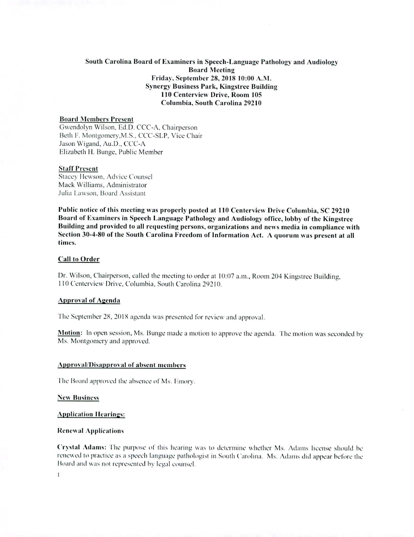# **South Carolina Board of Examiners in Speech-Language Pathology and Audiology Board Meeting Friday, September 28, 2018 10:00 A.N1. Synergy Business Park, Kingstree Building 110 Centerview Drive, Room 105 Columbia, South Carolina 29210**

# **Board Members Present**

Gwendolyn Wilson, Ed.D. CCC-A, Chairperson Beth F. Montgomery,M.S., CCC-SLP, Vice Chair Jason Wigand, Au.D., CCC-A Elizabeth H. Bunge, Public Member

# **Staff Present**

**Stacey** Ilewson, Advice Counsel Mack Williams, Administrator Julia Lawson, Board Assistant

**Public notice of this meeting was properly posted at 110 Centerview Drive Columbia, SC 29210 Board of Examiners in Speech Language Pathology and Audiology office, lobby of the Kingstree Building and provided to all requesting persons, organizations and news media in compliance with Section 30-4-80 of the South Carolina Freedom of Information Act. A quorum was present at all times.** 

#### **Call to Order**

**Dr. Wilson,** Chairperson, called the meeting to order at 10:07 a.m., Room 204 Kingstree Building, 110 Centerview Drive, Columbia, South Carolina 29210.

#### Approval **of Agenda**

The September 28, 2018 agenda was presented for review and approval.

**Motion:** In open session, Ms. Bunge made a motion to approve the agenda. The motion was seconded by Ms. Montgomery and approved.

## Approval/Disapproval of absent members

The Board approved the absence of Ms. Emory.

New Business

**Application Hearings:** 

## **Renewal Applications**

**Crystal Adams: The purpose** of this hearing was to determine whether Ms. Adams license should be renewed to practice as a speech language pathologist in South Carolina. Ms. Adams did appear before the Board and was not represented by legal counsel.

 $\mathbf{I}$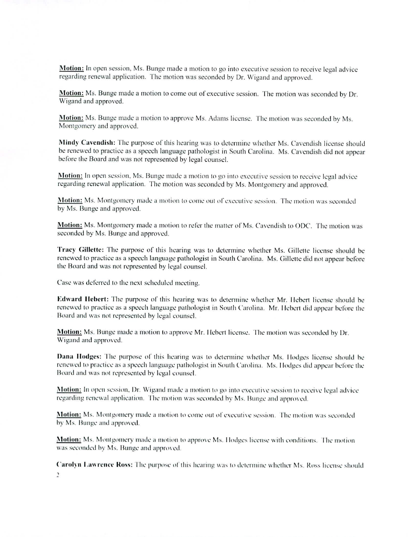**Motion:** In open session, Ms. Bunge made a motion to go into executive session to receive legal advice regarding renewal application. The motion was seconded by Dr. Wigand and approved.

**Motion:** Ms. Bunge made a motion to come out of executive session. The motion was seconded by Dr. Wigand and approved.

Motion: Ms. Bunge made a motion to approve Ms. Adams license. The motion was seconded by Ms. Montgomery and approved.

**Mindy Cavendish:** The purpose of this hearing was to determine whether Ms. Cavendish license should be renewed to practice as a speech language pathologist in South Carolina. Ms. Cavendish did not appear before the Board and was not represented by legal counsel.

**Motion: In** open session, Ms. Runge made a motion to go into executive session to receive legal advice regarding renewal application. The motion was seconded by Ms. Montgomery and approved.

**Motion:** Ms. Montgomery made a motion to come out of executive session. The motion was seconded by Ms. Bunge and approved.

**Motion:** Ms. Montgomery made a motion to refer the matter of Ms. Cavendish to ODC. The motion was seconded by Ms. Bunge and approved.

**Tracy Gillette: The** purpose of this hearing was to determine whether Ms. Gillette license should be renewed to practice as a speech language pathologist in South Carolina. Ms. Gillette did not appear before the Board and was not represented by legal counsel.

Case was deferred to the next scheduled meeting.

**Edward lichen: The** purpose of this hearing was to determine whether Mr. I lebert license should be renewed to practice as a speech language pathologist in South Carolina. Mr. Hebert did appear before the Board and was not represented by legal counsel.

**Motion:** Ms. Bunge made a motion to approve Mr. Hebert license. The motion was seconded by Dr. Wigand and approved.

**Dana !lodges: The** purpose of this hearing was to determine whether Ms. Hodges license should he renewed to practice as a speech language pathologist in South Carolina. Ms. Hodges did appear before the Board and was not represented by legal counsel.

**Motion:** In open session, Dr. Wigand made a motion to go into executive session to receive legal advice regarding renewal application. The motion was seconded by Ms. Bunge and approved.

Motion: Ms. Montgomery made a motion to come out of executive session. The motion was seconded by Ms. Bunge and approved.

**Motion:** Ms. Montgomery made a motion to approve Ms. I lodges license with conditions. The motion was seconded by Ms. Bunge and approved.

Carolyn Lawrence Ross: The purpose of this hearing was to determine whether Ms. Ross license should 1